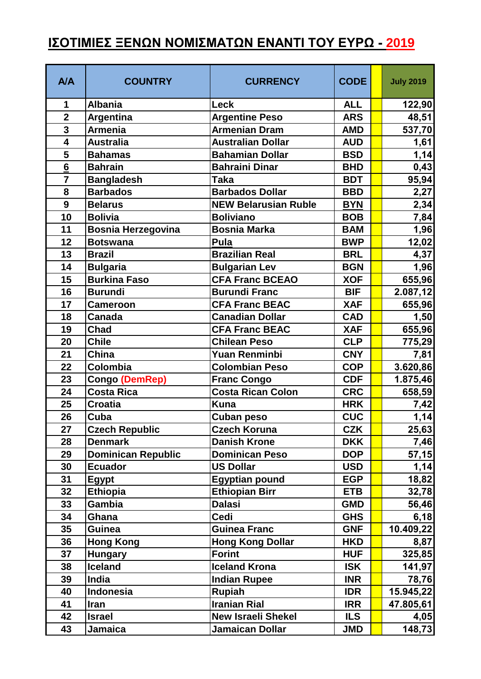## **ΙΣΟΤΙΜΙΕΣ ΞΕΝΩΝ ΝΟΜΙΣΜΑΤΩΝ ΕΝΑΝΤΙ ΤΟΥ ΕΥΡΩ - 2019**

| <b>A/A</b>      | <b>COUNTRY</b>            | <b>CURRENCY</b>             | <b>CODE</b> | <b>July 2019</b> |
|-----------------|---------------------------|-----------------------------|-------------|------------------|
| 1               | <b>Albania</b>            | Leck                        | <b>ALL</b>  | 122,90           |
| $\overline{2}$  | Argentina                 | <b>Argentine Peso</b>       | <b>ARS</b>  | 48,51            |
| $\overline{3}$  | <b>Armenia</b>            | <b>Armenian Dram</b>        | <b>AMD</b>  | 537,70           |
| 4               | <b>Australia</b>          | <b>Australian Dollar</b>    | <b>AUD</b>  | 1,61             |
| 5               | <b>Bahamas</b>            | <b>Bahamian Dollar</b>      | <b>BSD</b>  | 1,14             |
| $6\overline{6}$ | <b>Bahrain</b>            | <b>Bahraini Dinar</b>       | <b>BHD</b>  | 0,43             |
| $\overline{7}$  | <b>Bangladesh</b>         | <b>Taka</b>                 | <b>BDT</b>  | 95,94            |
| 8               | <b>Barbados</b>           | <b>Barbados Dollar</b>      | <b>BBD</b>  | 2,27             |
| 9               | <b>Belarus</b>            | <b>NEW Belarusian Ruble</b> | <b>BYN</b>  | 2,34             |
| 10              | <b>Bolivia</b>            | <b>Boliviano</b>            | <b>BOB</b>  | 7,84             |
| 11              | <b>Bosnia Herzegovina</b> | <b>Bosnia Marka</b>         | <b>BAM</b>  | 1,96             |
| 12              | <b>Botswana</b>           | Pula                        | <b>BWP</b>  | 12,02            |
| 13              | <b>Brazil</b>             | <b>Brazilian Real</b>       | <b>BRL</b>  | 4,37             |
| 14              | <b>Bulgaria</b>           | <b>Bulgarian Lev</b>        | <b>BGN</b>  | 1,96             |
| 15              | <b>Burkina Faso</b>       | <b>CFA Franc BCEAO</b>      | <b>XOF</b>  | 655,96           |
| 16              | <b>Burundi</b>            | <b>Burundi Franc</b>        | <b>BIF</b>  | 2.087,12         |
| 17              | <b>Cameroon</b>           | <b>CFA Franc BEAC</b>       | <b>XAF</b>  | 655,96           |
| 18              | <b>Canada</b>             | <b>Canadian Dollar</b>      | <b>CAD</b>  | 1,50             |
| 19              | <b>Chad</b>               | <b>CFA Franc BEAC</b>       | <b>XAF</b>  | 655,96           |
| 20              | <b>Chile</b>              | <b>Chilean Peso</b>         | <b>CLP</b>  | 775,29           |
| 21              | <b>China</b>              | Yuan Renminbi               | <b>CNY</b>  | 7,81             |
| 22              | Colombia                  | <b>Colombian Peso</b>       | <b>COP</b>  | 3.620,86         |
| 23              | <b>Congo (DemRep)</b>     | <b>Franc Congo</b>          | <b>CDF</b>  | 1.875,46         |
| 24              | <b>Costa Rica</b>         | <b>Costa Rican Colon</b>    | <b>CRC</b>  | 658,59           |
| 25              | <b>Croatia</b>            | <b>Kuna</b>                 | <b>HRK</b>  | 7,42             |
| 26              | Cuba                      | Cuban peso                  | <b>CUC</b>  | 1,14             |
| 27              | <b>Czech Republic</b>     | <b>Czech Koruna</b>         | <b>CZK</b>  | 25,63            |
| 28              | <b>Denmark</b>            | <b>Danish Krone</b>         | <b>DKK</b>  | 7,46             |
| 29              | <b>Dominican Republic</b> | <b>Dominican Peso</b>       | <b>DOP</b>  | 57,15            |
| 30              | <b>Ecuador</b>            | <b>US Dollar</b>            | <b>USD</b>  | 1,14             |
| 31              | <b>Egypt</b>              | <b>Egyptian pound</b>       | <b>EGP</b>  | 18,82            |
| 32              | <b>Ethiopia</b>           | <b>Ethiopian Birr</b>       | <b>ETB</b>  | 32,78            |
| 33              | <b>Gambia</b>             | <b>Dalasi</b>               | <b>GMD</b>  | 56,46            |
| 34              | Ghana                     | Cedi                        | <b>GHS</b>  | 6,18             |
| 35              | <b>Guinea</b>             | <b>Guinea Franc</b>         | <b>GNF</b>  | 10.409,22        |
| 36              | <b>Hong Kong</b>          | <b>Hong Kong Dollar</b>     | <b>HKD</b>  | 8,87             |
| 37              | <b>Hungary</b>            | <b>Forint</b>               | <b>HUF</b>  | 325,85           |
| 38              | <b>Iceland</b>            | <b>Iceland Krona</b>        | <b>ISK</b>  | 141,97           |
| 39              | India                     | <b>Indian Rupee</b>         | <b>INR</b>  | 78,76            |
| 40              | <b>Indonesia</b>          | <b>Rupiah</b>               | <b>IDR</b>  | 15.945,22        |
| 41              | <b>Iran</b>               | <b>Iranian Rial</b>         | <b>IRR</b>  | 47.805,61        |
| 42              | <b>Israel</b>             | <b>New Israeli Shekel</b>   | <b>ILS</b>  | 4,05             |
| 43              | Jamaica                   | Jamaican Dollar             | <b>JMD</b>  | 148,73           |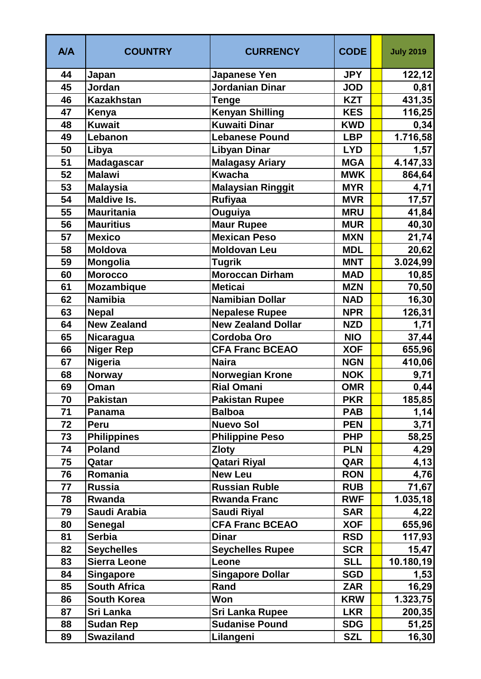| <b>A/A</b> | <b>COUNTRY</b>      | <b>CURRENCY</b>           | <b>CODE</b> | <b>July 2019</b> |
|------------|---------------------|---------------------------|-------------|------------------|
| 44         | Japan               | <b>Japanese Yen</b>       | <b>JPY</b>  | 122, 12          |
| 45         | Jordan              | Jordanian Dinar           | <b>JOD</b>  | 0,81             |
| 46         | <b>Kazakhstan</b>   | Tenge                     | <b>KZT</b>  | 431,35           |
| 47         | Kenya               | <b>Kenyan Shilling</b>    | <b>KES</b>  | 116,25           |
| 48         | <b>Kuwait</b>       | Kuwaiti Dinar             | <b>KWD</b>  | 0,34             |
| 49         | Lebanon             | <b>Lebanese Pound</b>     | <b>LBP</b>  | 1.716,58         |
| 50         | Libya               | <b>Libyan Dinar</b>       | <b>LYD</b>  | 1,57             |
| 51         | <b>Madagascar</b>   | <b>Malagasy Ariary</b>    | <b>MGA</b>  | 4.147,33         |
| 52         | <b>Malawi</b>       | <b>Kwacha</b>             | <b>MWK</b>  | 864,64           |
| 53         | <b>Malaysia</b>     | <b>Malaysian Ringgit</b>  | <b>MYR</b>  | 4,71             |
| 54         | <b>Maldive Is.</b>  | <b>Rufiyaa</b>            | <b>MVR</b>  | 17,57            |
| 55         | <b>Mauritania</b>   | Ouguiya                   | <b>MRU</b>  | 41,84            |
| 56         | <b>Mauritius</b>    | <b>Maur Rupee</b>         | <b>MUR</b>  | 40,30            |
| 57         | <b>Mexico</b>       | <b>Mexican Peso</b>       | <b>MXN</b>  | 21,74            |
| 58         | <b>Moldova</b>      | <b>Moldovan Leu</b>       | <b>MDL</b>  | 20,62            |
| 59         | Mongolia            | <b>Tugrik</b>             | <b>MNT</b>  | 3.024,99         |
| 60         | <b>Morocco</b>      | <b>Moroccan Dirham</b>    | <b>MAD</b>  | 10,85            |
| 61         | Mozambique          | <b>Meticai</b>            | <b>MZN</b>  | 70,50            |
| 62         | <b>Namibia</b>      | Namibian Dollar           | <b>NAD</b>  | 16,30            |
| 63         | <b>Nepal</b>        | <b>Nepalese Rupee</b>     | <b>NPR</b>  | 126,31           |
| 64         | <b>New Zealand</b>  | <b>New Zealand Dollar</b> | <b>NZD</b>  | 1,71             |
| 65         | Nicaragua           | <b>Cordoba Oro</b>        | <b>NIO</b>  | 37,44            |
| 66         | <b>Niger Rep</b>    | <b>CFA Franc BCEAO</b>    | <b>XOF</b>  | 655,96           |
| 67         | <b>Nigeria</b>      | <b>Naira</b>              | <b>NGN</b>  | 410,06           |
| 68         | <b>Norway</b>       | Norwegian Krone           | <b>NOK</b>  | 9,71             |
| 69         | Oman                | <b>Rial Omani</b>         | <b>OMR</b>  | 0,44             |
| 70         | Pakistan            | <b>Pakistan Rupee</b>     | <b>PKR</b>  | 185,85           |
| 71         | Panama              | <b>Balboa</b>             | <b>PAB</b>  | 1,14             |
| 72         | <b>Peru</b>         | <b>Nuevo Sol</b>          | <b>PEN</b>  | 3,71             |
| 73         | <b>Philippines</b>  | <b>Philippine Peso</b>    | <b>PHP</b>  | 58,25            |
| 74         | <b>Poland</b>       | <b>Zloty</b>              | <b>PLN</b>  | 4,29             |
| 75         | Qatar               | <b>Qatari Riyal</b>       | QAR         | 4,13             |
| 76         | Romania             | <b>New Leu</b>            | <b>RON</b>  | 4,76             |
| 77         | <b>Russia</b>       | <b>Russian Ruble</b>      | <b>RUB</b>  | 71,67            |
| 78         | Rwanda              | <b>Rwanda Franc</b>       | <b>RWF</b>  | 1.035, 18        |
| 79         | Saudi Arabia        | Saudi Riyal               | <b>SAR</b>  | 4,22             |
| 80         | <b>Senegal</b>      | <b>CFA Franc BCEAO</b>    | <b>XOF</b>  | 655,96           |
| 81         | <b>Serbia</b>       | <b>Dinar</b>              | <b>RSD</b>  | 117,93           |
| 82         | <b>Seychelles</b>   | <b>Seychelles Rupee</b>   | <b>SCR</b>  | 15,47            |
| 83         | <b>Sierra Leone</b> | Leone                     | <b>SLL</b>  | 10.180,19        |
| 84         | <b>Singapore</b>    | <b>Singapore Dollar</b>   | <b>SGD</b>  | 1,53             |
| 85         | <b>South Africa</b> | Rand                      | <b>ZAR</b>  | 16,29            |
| 86         | <b>South Korea</b>  | Won                       | <b>KRW</b>  | 1.323,75         |
| 87         | Sri Lanka           | <b>Sri Lanka Rupee</b>    | <b>LKR</b>  | 200,35           |
| 88         | <b>Sudan Rep</b>    | <b>Sudanise Pound</b>     | <b>SDG</b>  | 51,25            |
| 89         | <b>Swaziland</b>    | Lilangeni                 | <b>SZL</b>  | 16,30            |